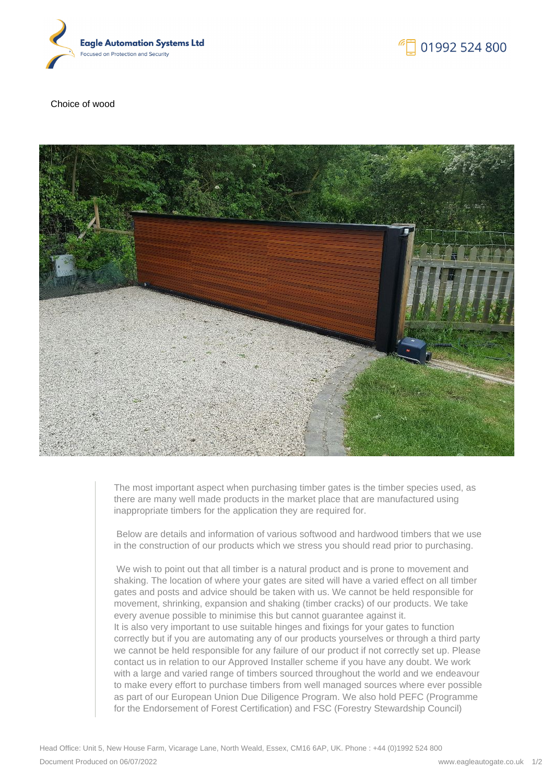



Choice of wood



The most important aspect when purchasing timber gates is the timber species used, as there are many well made products in the market place that are manufactured using inappropriate timbers for the application they are required for.

 Below are details and information of various softwood and hardwood timbers that we use in the construction of our products which we stress you should read prior to purchasing.

We wish to point out that all timber is a natural product and is prone to movement and shaking. The location of where your gates are sited will have a varied effect on all timber gates and posts and advice should be taken with us. We cannot be held responsible for movement, shrinking, expansion and shaking (timber cracks) of our products. We take every avenue possible to minimise this but cannot guarantee against it. It is also very important to use suitable hinges and fixings for your gates to function correctly but if you are automating any of our products yourselves or through a third party we cannot be held responsible for any failure of our product if not correctly set up. Please contact us in relation to our Approved Installer scheme if you have any doubt. We work with a large and varied range of timbers sourced throughout the world and we endeavour to make every effort to purchase timbers from well managed sources where ever possible as part of our European Union Due Diligence Program. We also hold PEFC (Programme for the Endorsement of Forest Certification) and FSC (Forestry Stewardship Council)